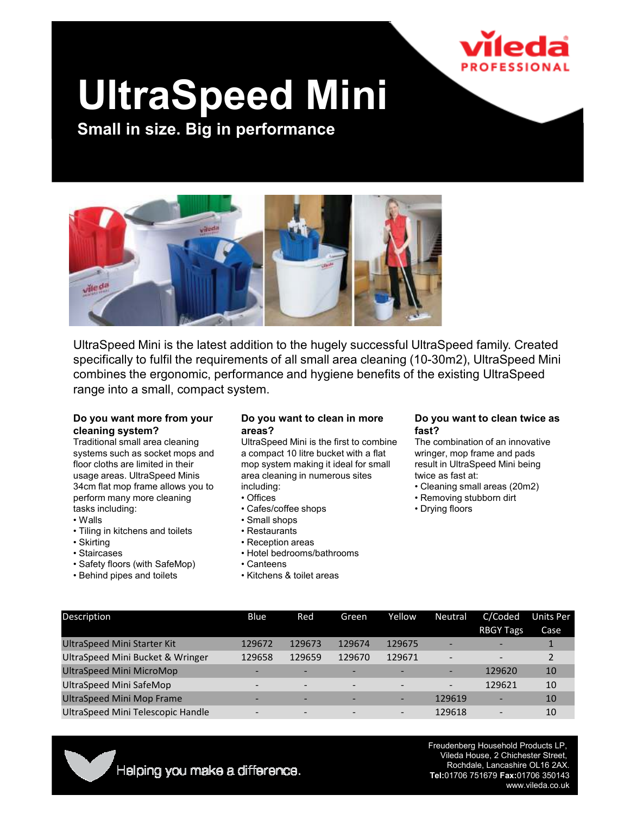

# UltraSpeed Mini

Small in size. Big in performance



UltraSpeed Mini is the latest addition to the hugely successful UltraSpeed family. Created specifically to fulfil the requirements of all small area cleaning (10-30m2), UltraSpeed Mini combines the ergonomic, performance and hygiene benefits of the existing UltraSpeed range into a small, compact system.

#### Do you want more from your cleaning system?

Traditional small area cleaning systems such as socket mops and floor cloths are limited in their usage areas. UltraSpeed Minis 34cm flat mop frame allows you to perform many more cleaning tasks including:

- Walls
- Tiling in kitchens and toilets
- Skirting
- Staircases
- Safety floors (with SafeMop)
- Behind pipes and toilets

#### Do you want to clean in more areas?

UltraSpeed Mini is the first to combine a compact 10 litre bucket with a flat mop system making it ideal for small area cleaning in numerous sites including:

- Offices
- Cafes/coffee shops
- Small shops
- Restaurants
- Reception areas
- Hotel bedrooms/bathrooms
- Canteens
- Kitchens & toilet areas

#### Do you want to clean twice as fast?

The combination of an innovative wringer, mop frame and pads result in UltraSpeed Mini being twice as fast at:

- Cleaning small areas (20m2)
- Removing stubborn dirt
- Drying floors

| <b>Description</b>                | Blue                     | Red                      | Green                    | Yellow                   | <b>Neutral</b>           | C/Coded                  | Units Per |
|-----------------------------------|--------------------------|--------------------------|--------------------------|--------------------------|--------------------------|--------------------------|-----------|
|                                   |                          |                          |                          |                          |                          | <b>RBGY Tags</b>         | Case      |
| UltraSpeed Mini Starter Kit       | 129672                   | 129673                   | 129674                   | 129675                   |                          |                          |           |
| UltraSpeed Mini Bucket & Wringer  | 129658                   | 129659                   | 129670                   | 129671                   | $\overline{\phantom{0}}$ |                          |           |
| UltraSpeed Mini MicroMop          | -                        |                          |                          |                          |                          | 129620                   | 10        |
| UltraSpeed Mini SafeMop           | -                        | $\overline{\phantom{0}}$ |                          |                          |                          | 129621                   | 10        |
| <b>UltraSpeed Mini Mop Frame</b>  |                          |                          |                          |                          | 129619                   |                          | 10        |
| UltraSpeed Mini Telescopic Handle | $\overline{\phantom{0}}$ | $\overline{\phantom{0}}$ | $\overline{\phantom{0}}$ | $\overline{\phantom{a}}$ | 129618                   | $\overline{\phantom{0}}$ | 10        |



Freudenberg Household Products LP, Vileda House, 2 Chichester Street, Rochdale, Lancashire OL16 2AX. Tel:01706 751679 Fax:01706 350143 www.vileda.co.uk